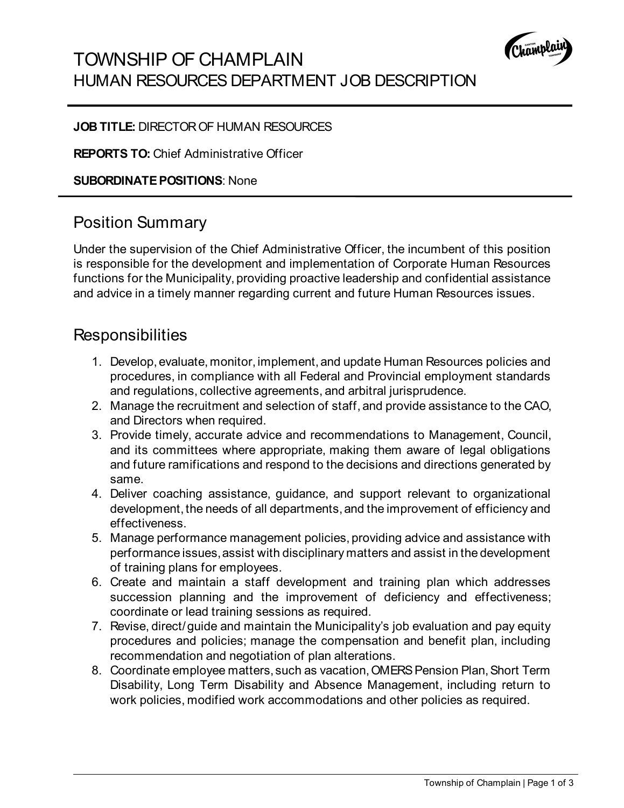

## TOWNSHIP OF CHAMPLAIN HUMAN RESOURCES DEPARTMENT JOB DESCRIPTION

#### **JOB TITLE:** DIRECTOR OF HUMAN RESOURCES

**REPORTS TO:** Chief Administrative Officer

**SUBORDINATE POSITIONS**: None

### Position Summary

Under the supervision of the Chief Administrative Officer, the incumbent of this position is responsible for the development and implementation of Corporate Human Resources functions for the Municipality, providing proactive leadership and confidential assistance and advice in a timely manner regarding current and future Human Resources issues.

### **Responsibilities**

- 1. Develop, evaluate, monitor, implement, and update Human Resources policies and procedures, in compliance with all Federal and Provincial employment standards and regulations, collective agreements, and arbitral jurisprudence.
- 2. Manage the recruitment and selection of staff, and provide assistance to the CAO, and Directors when required.
- 3. Provide timely, accurate advice and recommendations to Management, Council, and its committees where appropriate, making them aware of legal obligations and future ramifications and respond to the decisions and directions generated by same.
- 4. Deliver coaching assistance, guidance, and support relevant to organizational development, the needs of all departments, and the improvement of efficiency and effectiveness.
- 5. Manage performance management policies, providing advice and assistance with performance issues, assist with disciplinary matters and assist in the development of training plans for employees.
- 6. Create and maintain a staff development and training plan which addresses succession planning and the improvement of deficiency and effectiveness; coordinate or lead training sessions as required.
- 7. Revise, direct/guide and maintain the Municipality's job evaluation and pay equity procedures and policies; manage the compensation and benefit plan, including recommendation and negotiation of plan alterations.
- 8. Coordinate employee matters, such as vacation, OMERS Pension Plan, Short Term Disability, Long Term Disability and Absence Management, including return to work policies, modified work accommodations and other policies as required.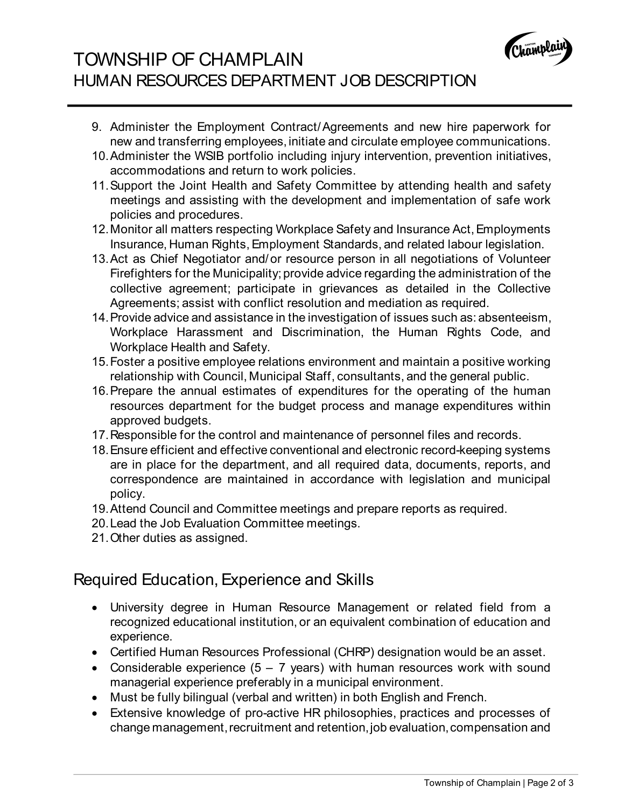

# TOWNSHIP OF CHAMPLAIN HUMAN RESOURCES DEPARTMENT JOB DESCRIPTION

- 9. Administer the Employment Contract/Agreements and new hire paperwork for new and transferring employees, initiate and circulate employee communications.
- 10.Administer the WSIB portfolio including injury intervention, prevention initiatives, accommodations and return to work policies.
- 11.Support the Joint Health and Safety Committee by attending health and safety meetings and assisting with the development and implementation of safe work policies and procedures.
- 12.Monitor all matters respecting Workplace Safety and Insurance Act, Employments Insurance, Human Rights, Employment Standards, and related labour legislation.
- 13.Act as Chief Negotiator and/or resource person in all negotiations of Volunteer Firefighters for the Municipality; provide advice regarding the administration of the collective agreement; participate in grievances as detailed in the Collective Agreements; assist with conflict resolution and mediation as required.
- 14.Provide advice and assistance in the investigation of issues such as: absenteeism, Workplace Harassment and Discrimination, the Human Rights Code, and Workplace Health and Safety.
- 15.Foster a positive employee relations environment and maintain a positive working relationship with Council, Municipal Staff, consultants, and the general public.
- 16.Prepare the annual estimates of expenditures for the operating of the human resources department for the budget process and manage expenditures within approved budgets.
- 17.Responsible for the control and maintenance of personnel files and records.
- 18.Ensure efficient and effective conventional and electronic record-keeping systems are in place for the department, and all required data, documents, reports, and correspondence are maintained in accordance with legislation and municipal policy.
- 19.Attend Council and Committee meetings and prepare reports as required.
- 20.Lead the Job Evaluation Committee meetings.
- 21.Other duties as assigned.

# Required Education, Experience and Skills

- University degree in Human Resource Management or related field from a recognized educational institution, or an equivalent combination of education and experience.
- Certified Human Resources Professional (CHRP) designation would be an asset.
- Considerable experience  $(5 7$  years) with human resources work with sound managerial experience preferably in a municipal environment.
- Must be fully bilingual (verbal and written) in both English and French.
- Extensive knowledge of pro-active HR philosophies, practices and processes of change management, recruitment and retention, job evaluation, compensation and